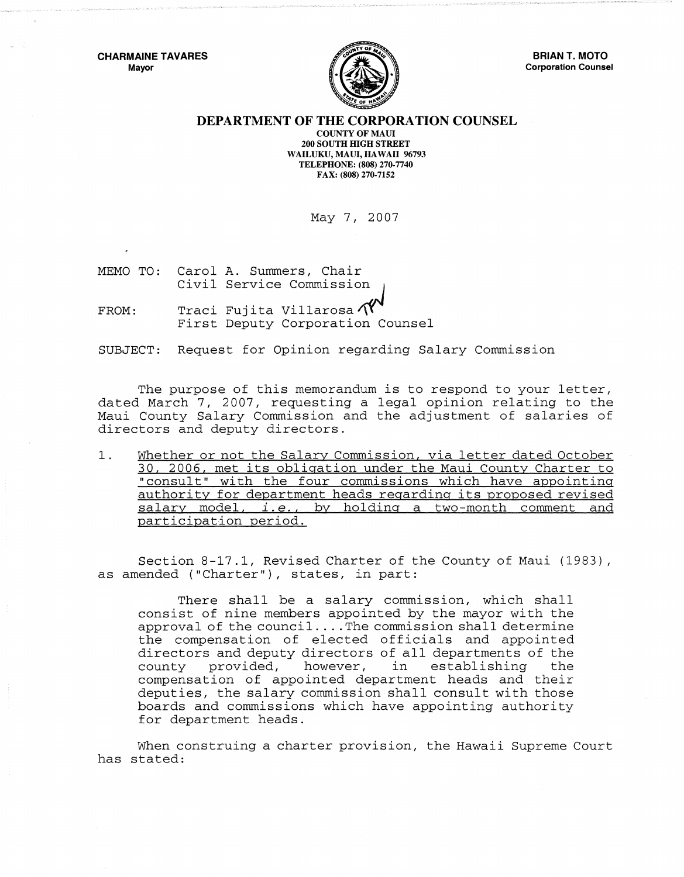

## DEPARTMENT OF THE CORPORATION COUNSEL

COUNTY OF MAUl 200 SOUTH mGH STREET WAILUKU, MAUI, HAWAII 96793 TELEPHONE: (808) 270·7740 FAX: (808) 270·7152

May 7, 2007

MEMO TO: Civil Service *commission ..* J Carol A. Summers, Chair

FROM: Traci Fujita Villarosa $\Lambda$ Traci Fujita Villarosa $\textcolor{red}{\mathcal{N}}^\blacklozenge$ First Deputy Corporation Counsel

SUBJECT: Request for Opinion regarding Salary Commission

The purpose of this memorandum is to respond to your letter, dated March 7, 2007, requesting a legal opinion relating to the Maui County Salary Commission and the adjustment of salaries of directors and deputy directors.

1. Whether or not the Salary Commission, via letter dated October 30, 2006, met its obligation under the Maui County Charter to "consult" with the four commissions which have appointing authority for department heads regarding its proposed revised salary model, *i.e.*, by holding a two-month comment and participation period.

Section 8-17.1, Revised Charter of the County of Maui (1983), as amended ("Charter"), states, in part:

There shall be a salary commission, which shall consist of nine members appointed by the mayor with the approval of the council .... The commission shall determine the compensation of elected officials and appointed directors and deputy directors of all departments of the<br>county provided, however, in establishing the establishing compensation of appointed department heads and their deputies, the salary commission shall consult with those boards and commissions which have appointing authority for department heads.

When construing a charter provision, the Hawaii Supreme Court has stated: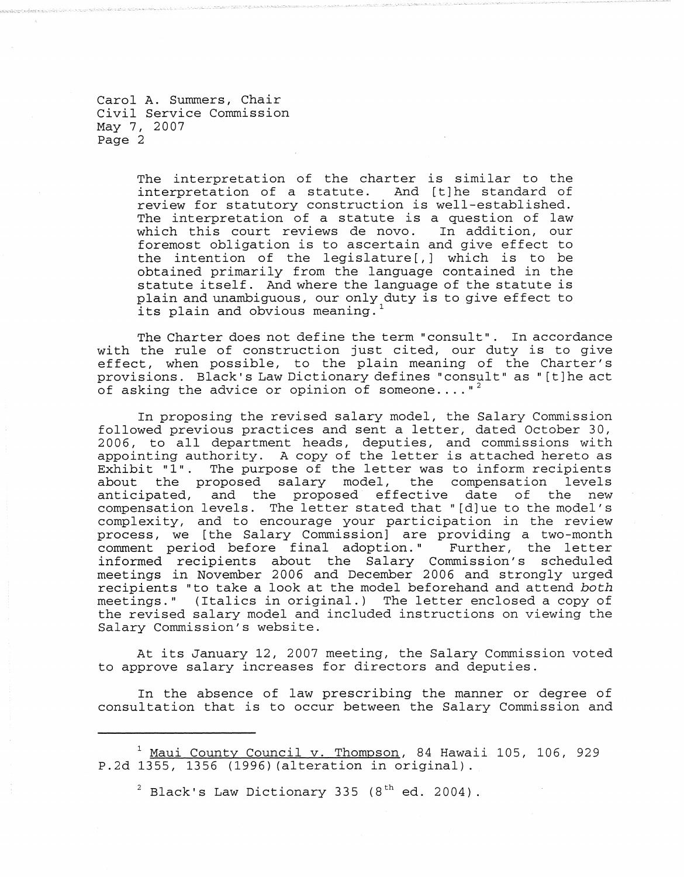Carol A. Summers, Chair Civil Service Commission May 7, 2007 Page 2

> The interpretation of the charter is similar to the interpretation of a statute. And [t] he standard of review for statutory construction is well-established. The interpretation of a statute is a question of law<br>which this court reviews de novo. In addition, our which this court reviews de novo. foremost obligation is to ascertain and give effect to the intention of the legislature [,] which is to be obtained primarily from the language contained in the statute itself. And where the language of the statute is plain and unambiguous, our only duty is to give effect to its plain and obvious meaning.

The Charter does not define the term "consult". In accordance with the rule of construction just cited, our duty is to give effect, when possible, to the plain meaning of the Charter's provisions. Black's Law Dictionary def ines "consult" as "[ t] he act of asking the advice or opinion of someone...."<sup>2</sup>

In proposing the revised salary model, the Salary Commission followed previous practices and sent a letter, dated October 30, 2006, to all department heads, deputies, and commissions with appointing authority. A copy of the letter is attached hereto as Exhibit "1". The purpose of the letter was to inform recipients<br>about the proposed salary model, the compensation levels the proposed salary model, the compensation levels anticipated, and the proposed effective date of the new compensation levels. The letter stated that" [d] ue to the model's complexi ty, and to encourage your participation in the review process, we [the Salary Commission] are providing a two-month comment period before final adoption." Further, the letter informed recipients about the Salary Commission's scheduled meetings in November 2006 and December 2006 and strongly urged recipients "to take a look at the model beforehand and attend *both* meetings." (Italics in original.) The letter enclosed a copy of the revised salary model and included instructions on viewing the Salary Commission's website.

At its January 12, 2007 meeting, the Salary Commission voted to approve salary increases for directors and deputies.

In the absence of law prescribing the manner or degree of consultation that is to occur between the Salary Commission and

<sup>&</sup>lt;sup>1</sup> Maui County Council v. Thompson, 84 Hawaii 105, 106, 929 P.2d 1355, 1356 (1996) (alteration in original).

 $^2$  Black's Law Dictionary 335 (8<sup>th</sup> ed. 2004).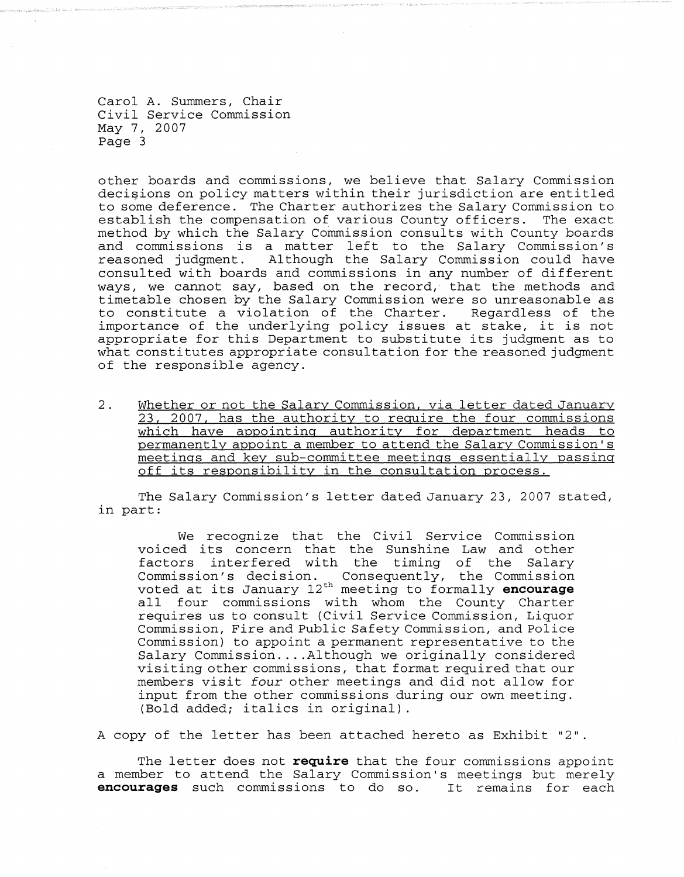Carol A. Summers, Chair Civil Service Commission May 7, 2007 Page 3

other boards and commissions, we believe that Salary Commission decisions on policy matters within their jurisdiction are entitled to some deference. The Charter authorizes the Salary Commission to establish the compensation of various County officers. The exact method by which the Salary Commission consults with County boards and commissions is a matter left to the Salary Commission's reasoned judgment. Al though the Salary Commission could have consulted with boards and commissions in any number of different ways, we cannot say, based on the record, that the methods and timetable chosen by the Salary Commission were so unreasonable as to constitute a violation of the Charter. Regardless of the importance of the underlying policy issues at stake, it is not appropriate for this Department to substitute its judgment as to what constitutes appropriate consultation for the reasoned judgment of the responsible agency.

2. Whether or not the Salary Commission, via letter dated January 23, 2007, has the authority to require the four commissions which have appointing authority for department heads to permanently appoint a member to attend the Salary Commission's meetings and key sub-committee meetings essentially passing off its responsibility in the consultation process.

The Salary Commission's letter dated January 23, 2007 stated, in part:

We recognize that the Civil Service Commission voiced its concern that the Sunshine Law and other factors interfered with the timing of the Salary Commission's decision. Consequently, the Commission voted at its January 12th meeting to formally **encourage**  all four commissions with whom the County Charter requires us to consult (Civil Service Commission, Liquor Commission, Fire and Public Safety Commission, and Police Commission) to appoint a permanent representative to the Salary Commission .... Although we originally considered visiting other commissions, that format required that our members visit *four* other meetings and did not allow for input from the other commissions during our own meeting. (Bold added; italics in original) .

A copy of the letter has been attached hereto as Exhibit "2".

The letter does not **require** that the four commissions appoint a member to attend the Salary Commission's meetings but merely **encourages** such commissions to do so. It remains for each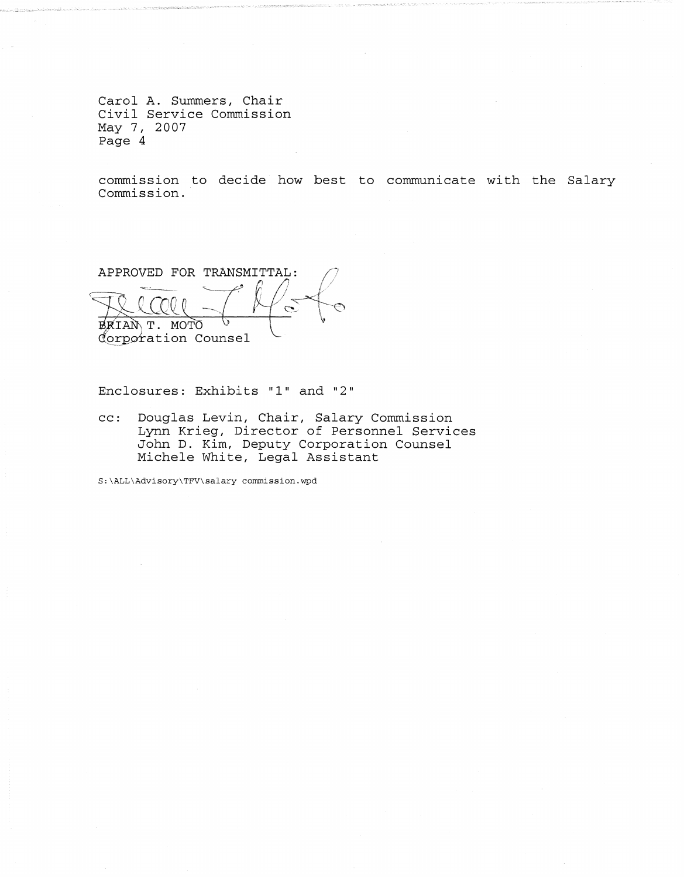Carol **A.** Summers, Chair Civil Service Commission May 7, 2007 Page 4

commission to decide how best to communicate with the Salary Commission.

APPROVED FOR TRANSMITTAL: ~~---.. *'----r-* If' / i *<sup>j</sup>*  $l$ TILCO BRIAN T. MOTO Corporation Counsel

Enclosures: Exhibits "1" and "2"

cc: Douglas Levin, Chair, Salary Commission Lynn Krieg, Director of Personnel Services John D. Kim, Deputy Corporation Counsel Michele White, Legal Assistant

S:\ALL\Advisory\TFV\salary commission.wpd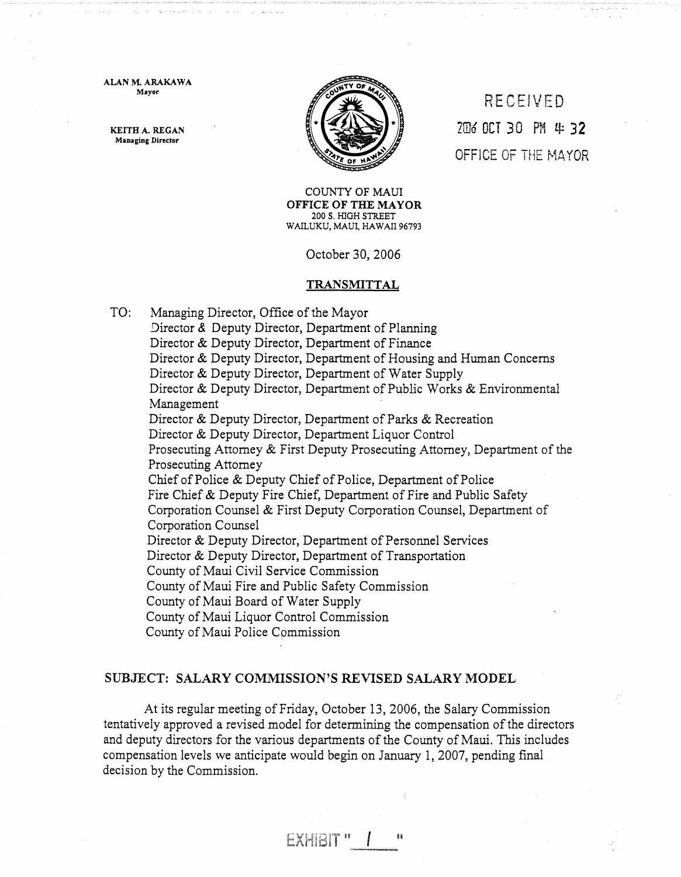ALAN M. ARAKAWA Mayor

KEITH A. REGAN Managing Director



**RECEIVED** 2ID6 oei 30 PM Lt: 32 OFFICE OF THE MAYOR

COUNTY OF MAUl OFFICE OF THE MAYOR 200 S. HIGH STREET WAILUKU, MAUL HAWAII 96793

October 30, 2006

## TRANSMITTAL

TO: Managing Director, Office of the Mayor

Director & Deputy Director, Department of Planning Director & Deputy Director, Department of Finance Director & Deputy Director, Department of Housing and Human Concerns Director & Deputy Director, Department of Water Supply Director & Deputy Director, Department of Public Works & Environmental Management Director & Deputy Director, Department of Parks & Recreation Director & Deputy Director, Department Liquor Control Prosecuting Attorney & First Deputy Prosecuting Attorney, Department of the Prosecuting Attorney Chief of Police & Deputy Chief of Police, Department of Police Fire Chief & Deputy Fire Chief, Department of Fire and Public Safety Corporation Counsel & First Deputy Corporation Counsel, Department of Corporation Counsel Director & Deputy Director, Department of Personnel Services Director & Deputy Director, Department of Transportation County of Maui Civil Service Commission County of Maui Fire and Public Safety Commission County of Maui Board of Water Supply County of Maui Liquor Control Commission County of Maui Police Commission

## SUBJECT: SALARY COMMISSION'S REVISED SALARY MODEL

EXHRIT "

At its regular meeting of Friday, October l3, 2006, the Salary Commission tentatively approved a revised model for determining the compensation of the directors and deputy directors for the various departments of the County of Maui. This includes compensation levels we anticipate would begin on January 1,2007, pending final decision by the Commission.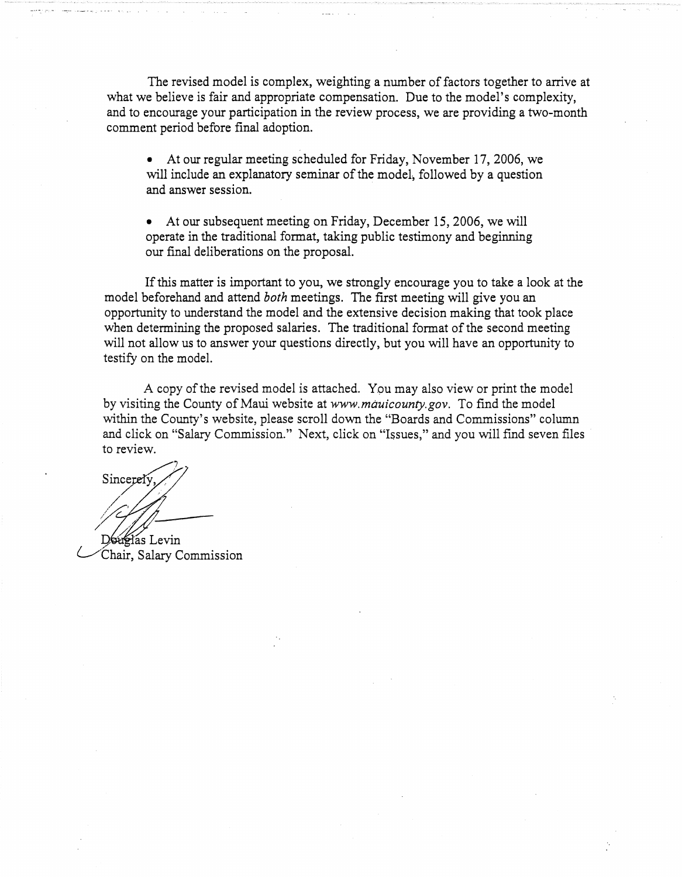The revised model is complex, weighting a number of factors together to arrive at what we believe is fair and appropriate compensation. Due to the model's complexity, and to encourage your participation in the review process, we are providing a two-month comment period before final adoption.

• At our regular meeting scheduled for Friday, November 17, 2006, we will include an explanatory seminar of the model, followed by a question and answer session.

• At our subsequent meeting on Friday, December 15, 2006, we will operate in the traditional format, taking public testimony and beginning our final deliberations on the proposal.

If this matter is important to you, we strongly encourage you to take a look at the model beforehand and attend *both* meetings. The first meeting will give you an opportunity to understand the model and the extensive decision making that took place when determining the proposed salaries. The traditional format of the second meeting will not allow us to answer your questions directly, but you will have an opportunity to testify on the model.

A copy of the revised model is attached. Ypu may also view or print the model by visiting the County of Maui website at *www.mauicounty.gov.* To find the model within the County's website, please scroll down the "Boards and Commissions" column and click on "Salary Commission." Next, click on "Issues," and you will find seven files to review.

Sincerely |<br>|C/Th / / ///. Douglas Levin

Chair, Salary Commission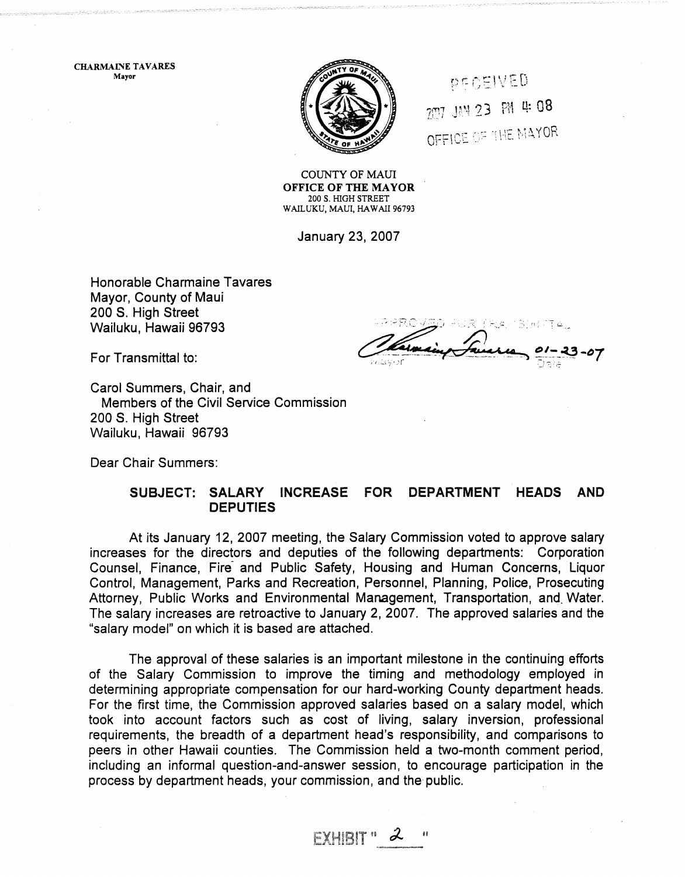CHARMAINE TAVARES Mayor



PECEIVED 207 JAN 23 PM 4:08 OFFICE OF THE MAYOR

COUNTY OF MAUl OFFICE OF THE MAYOR 200 S. HIGH STREET WAILUKU, MAUl, HAWAII 96793

January 23, 2007

Honorable Charmaine Tavares Mayor, County of Maui 200 S. High Street Wailuku, Hawaii 96793

For Transmittal to:

Carol Summers, Chair, and Members of the Civil Service Commission 200 S. High Street Wailuku, Hawaii 96793

Dear Chair Summers:

## SUBJECT: SALARY INCREASE FOR DEPARTMENT HEADS AND **DEPUTIES**

At its January 12, 2007 meeting, the Salary Commission voted to approve salary increases for the directors and deputies of the following departments: Corporation Counsel, Finance, Fire- and Public Safety, Housing and Human Concerns, Liquor Control, Management, Parks and Recreation, Personnel, Planning, Police, Prosecuting Attorney, Public Works and Environmental Management, Transportation, and. Water. The salary increases are retroactive to January 2, 2007. The approved salaries and the "salary model" on which it is based are attached.

The approval of these salaries is an important milestone in the continuing efforts of the Salary Commission to improve the timing and methodology employed in determining appropriate compensation for our hard-working County department heads. For the first time, the Commission approved salaries based on a salary model, which took into account factors such as cost of living, salary inversion, professional requirements, the breadth of a department head's responsibility, and comparisons to peers in other Hawaii counties. The Commission held a two-month comment period, including an informal question-and-answer session, to encourage participation in the process by department heads, your commission, and the public.

 $EXHIBIT$   $\cdot$  2